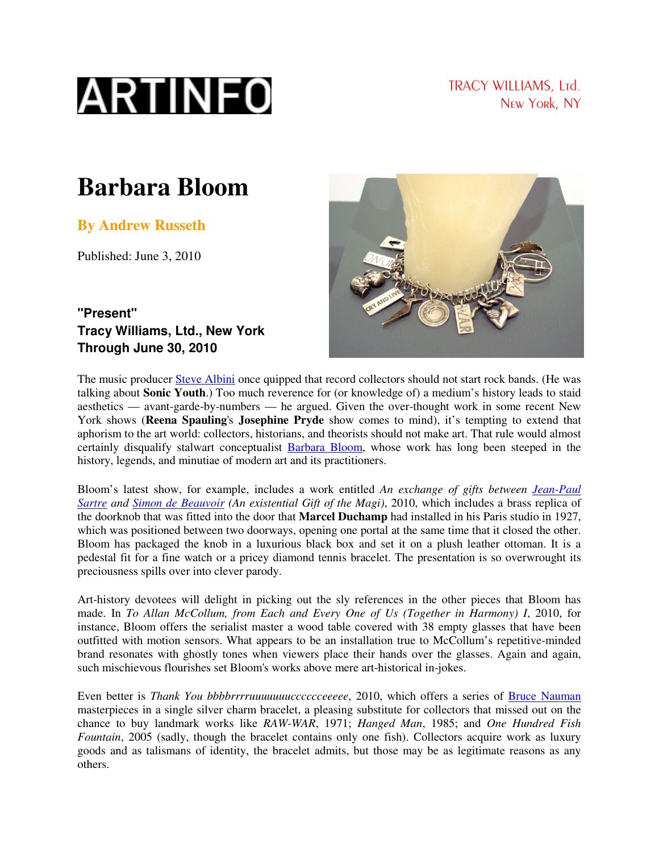

TRACY WILLIAMS, Ltd. New York, NY

## **Barbara Bloom**

**By Andrew Russeth** 

Published: June 3, 2010



**"Present" Tracy Williams, Ltd., New York Through June 30, 2010** 

The music producer Steve Albini once quipped that record collectors should not start rock bands. (He was talking about **Sonic Youth**.) Too much reverence for (or knowledge of) a medium's history leads to staid aesthetics — avant-garde-by-numbers — he argued. Given the over-thought work in some recent New York shows (**Reena Spauling**'s **Josephine Pryde** show comes to mind), it's tempting to extend that aphorism to the art world: collectors, historians, and theorists should not make art. That rule would almost certainly disqualify stalwart conceptualist Barbara Bloom, whose work has long been steeped in the history, legends, and minutiae of modern art and its practitioners.

Bloom's latest show, for example, includes a work entitled *An exchange of gifts between Jean-Paul Sartre and Simon de Beauvoir (An existential Gift of the Magi)*, 2010, which includes a brass replica of the doorknob that was fitted into the door that **Marcel Duchamp** had installed in his Paris studio in 1927, which was positioned between two doorways, opening one portal at the same time that it closed the other. Bloom has packaged the knob in a luxurious black box and set it on a plush leather ottoman. It is a pedestal fit for a fine watch or a pricey diamond tennis bracelet. The presentation is so overwrought its preciousness spills over into clever parody.

Art-history devotees will delight in picking out the sly references in the other pieces that Bloom has made. In *To Allan McCollum, from Each and Every One of Us (Together in Harmony) I*, 2010, for instance, Bloom offers the serialist master a wood table covered with 38 empty glasses that have been outfitted with motion sensors. What appears to be an installation true to McCollum's repetitive-minded brand resonates with ghostly tones when viewers place their hands over the glasses. Again and again, such mischievous flourishes set Bloom's works above mere art-historical in-jokes.

Even better is *Thank You bbbbrrrruuuuuuucccccceeeee*, 2010, which offers a series of Bruce Nauman masterpieces in a single silver charm bracelet, a pleasing substitute for collectors that missed out on the chance to buy landmark works like *RAW-WAR*, 1971; *Hanged Man*, 1985; and *One Hundred Fish Fountain*, 2005 (sadly, though the bracelet contains only one fish). Collectors acquire work as luxury goods and as talismans of identity, the bracelet admits, but those may be as legitimate reasons as any others.